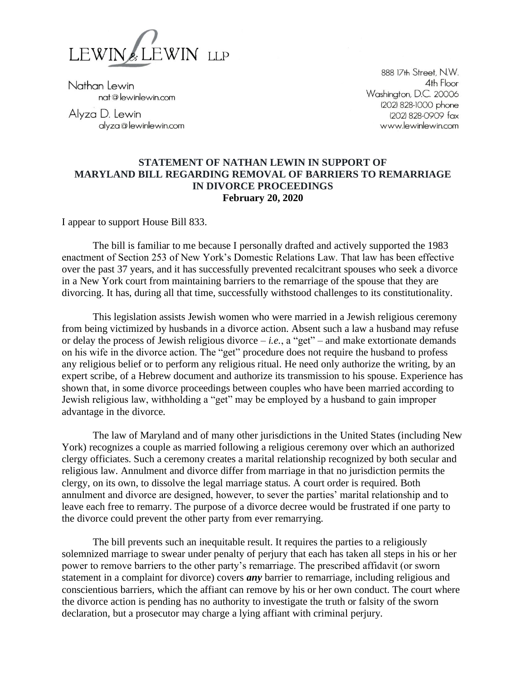

Nathan Lewin nat@lewinlewin.com

Alyza D. Lewin alyza@lewinlewin.com

888 17th Street, N.W. 4th Floor Washington, D.C. 20006 (202) 828-1000 phone (202) 828-0909 fax www.lewinlewin.com

## **STATEMENT OF NATHAN LEWIN IN SUPPORT OF MARYLAND BILL REGARDING REMOVAL OF BARRIERS TO REMARRIAGE IN DIVORCE PROCEEDINGS February 20, 2020**

I appear to support House Bill 833.

The bill is familiar to me because I personally drafted and actively supported the 1983 enactment of Section 253 of New York's Domestic Relations Law. That law has been effective over the past 37 years, and it has successfully prevented recalcitrant spouses who seek a divorce in a New York court from maintaining barriers to the remarriage of the spouse that they are divorcing. It has, during all that time, successfully withstood challenges to its constitutionality.

This legislation assists Jewish women who were married in a Jewish religious ceremony from being victimized by husbands in a divorce action. Absent such a law a husband may refuse or delay the process of Jewish religious divorce  $-i.e.,$  a "get" – and make extortionate demands on his wife in the divorce action. The "get" procedure does not require the husband to profess any religious belief or to perform any religious ritual. He need only authorize the writing, by an expert scribe, of a Hebrew document and authorize its transmission to his spouse. Experience has shown that, in some divorce proceedings between couples who have been married according to Jewish religious law, withholding a "get" may be employed by a husband to gain improper advantage in the divorce.

The law of Maryland and of many other jurisdictions in the United States (including New York) recognizes a couple as married following a religious ceremony over which an authorized clergy officiates. Such a ceremony creates a marital relationship recognized by both secular and religious law. Annulment and divorce differ from marriage in that no jurisdiction permits the clergy, on its own, to dissolve the legal marriage status. A court order is required. Both annulment and divorce are designed, however, to sever the parties' marital relationship and to leave each free to remarry. The purpose of a divorce decree would be frustrated if one party to the divorce could prevent the other party from ever remarrying.

The bill prevents such an inequitable result. It requires the parties to a religiously solemnized marriage to swear under penalty of perjury that each has taken all steps in his or her power to remove barriers to the other party's remarriage. The prescribed affidavit (or sworn statement in a complaint for divorce) covers *any* barrier to remarriage, including religious and conscientious barriers, which the affiant can remove by his or her own conduct. The court where the divorce action is pending has no authority to investigate the truth or falsity of the sworn declaration, but a prosecutor may charge a lying affiant with criminal perjury.